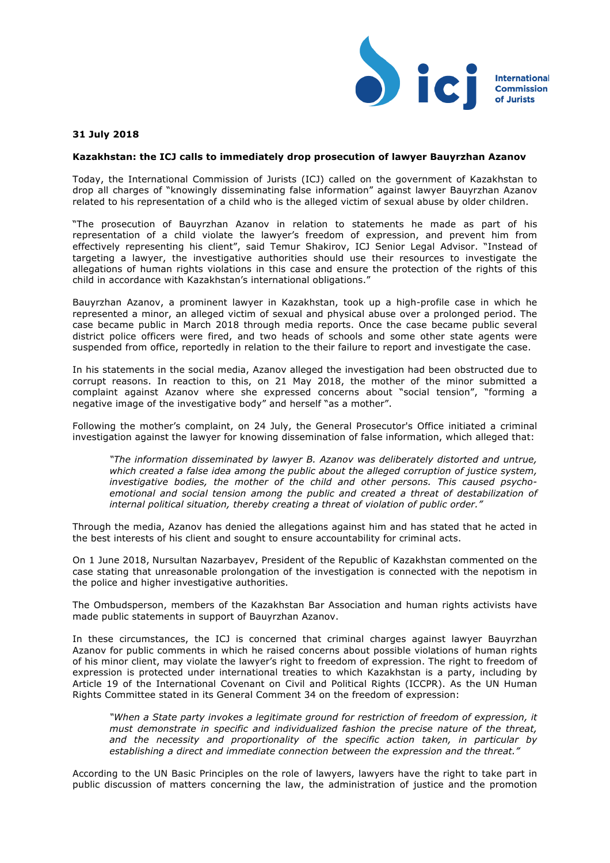

## **31 July 2018**

## **Kazakhstan: the ICJ calls to immediately drop prosecution of lawyer Bauyrzhan Azanov**

Today, the International Commission of Jurists (ICJ) called on the government of Kazakhstan to drop all charges of "knowingly disseminating false information" against lawyer Bauyrzhan Azanov related to his representation of a child who is the alleged victim of sexual abuse by older children.

"The prosecution of Bauyrzhan Azanov in relation to statements he made as part of his representation of a child violate the lawyer's freedom of expression, and prevent him from effectively representing his client", said Temur Shakirov, ICJ Senior Legal Advisor. "Instead of targeting a lawyer, the investigative authorities should use their resources to investigate the allegations of human rights violations in this case and ensure the protection of the rights of this child in accordance with Kazakhstan's international obligations."

Bauyrzhan Azanov, a prominent lawyer in Kazakhstan, took up a high-profile case in which he represented a minor, an alleged victim of sexual and physical abuse over a prolonged period. The case became public in March 2018 through media reports. Once the case became public several district police officers were fired, and two heads of schools and some other state agents were suspended from office, reportedly in relation to the their failure to report and investigate the case.

In his statements in the social media, Azanov alleged the investigation had been obstructed due to corrupt reasons. In reaction to this, on 21 May 2018, the mother of the minor submitted a complaint against Azanov where she expressed concerns about "social tension", "forming a negative image of the investigative body" and herself "as a mother".

Following the mother's complaint, on 24 July, the General Prosecutor's Office initiated a criminal investigation against the lawyer for knowing dissemination of false information, which alleged that:

*"The information disseminated by lawyer B. Azanov was deliberately distorted and untrue, which created a false idea among the public about the alleged corruption of justice system, investigative bodies, the mother of the child and other persons. This caused psychoemotional and social tension among the public and created a threat of destabilization of internal political situation, thereby creating a threat of violation of public order."*

Through the media, Azanov has denied the allegations against him and has stated that he acted in the best interests of his client and sought to ensure accountability for criminal acts.

On 1 June 2018, Nursultan Nazarbayev, President of the Republic of Kazakhstan commented on the case stating that unreasonable prolongation of the investigation is connected with the nepotism in the police and higher investigative authorities.

The Ombudsperson, members of the Kazakhstan Bar Association and human rights activists have made public statements in support of Bauyrzhan Azanov.

In these circumstances, the ICJ is concerned that criminal charges against lawyer Bauyrzhan Azanov for public comments in which he raised concerns about possible violations of human rights of his minor client, may violate the lawyer's right to freedom of expression. The right to freedom of expression is protected under international treaties to which Kazakhstan is a party, including by Article 19 of the International Covenant on Civil and Political Rights (ICCPR). As the UN Human Rights Committee stated in its General Comment 34 on the freedom of expression:

*"When a State party invokes a legitimate ground for restriction of freedom of expression, it must demonstrate in specific and individualized fashion the precise nature of the threat, and the necessity and proportionality of the specific action taken, in particular by establishing a direct and immediate connection between the expression and the threat."*

According to the UN Basic Principles on the role of lawyers, lawyers have the right to take part in public discussion of matters concerning the law, the administration of justice and the promotion